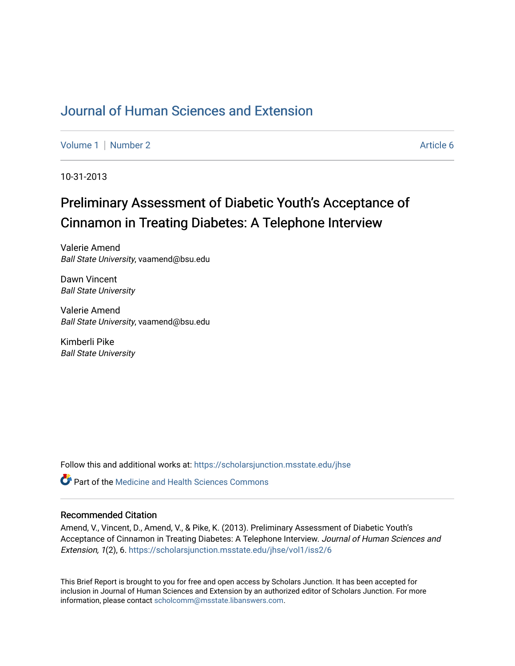## [Journal of Human Sciences and Extension](https://scholarsjunction.msstate.edu/jhse)

[Volume 1](https://scholarsjunction.msstate.edu/jhse/vol1) | [Number 2](https://scholarsjunction.msstate.edu/jhse/vol1/iss2) Article 6

10-31-2013

# Preliminary Assessment of Diabetic Youth's Acceptance of Cinnamon in Treating Diabetes: A Telephone Interview

Valerie Amend Ball State University, vaamend@bsu.edu

Dawn Vincent Ball State University

Valerie Amend Ball State University, vaamend@bsu.edu

Kimberli Pike Ball State University

Follow this and additional works at: [https://scholarsjunction.msstate.edu/jhse](https://scholarsjunction.msstate.edu/jhse?utm_source=scholarsjunction.msstate.edu%2Fjhse%2Fvol1%2Fiss2%2F6&utm_medium=PDF&utm_campaign=PDFCoverPages)

**C** Part of the Medicine and Health Sciences Commons

#### Recommended Citation

Amend, V., Vincent, D., Amend, V., & Pike, K. (2013). Preliminary Assessment of Diabetic Youth's Acceptance of Cinnamon in Treating Diabetes: A Telephone Interview. Journal of Human Sciences and Extension, 1(2), 6. [https://scholarsjunction.msstate.edu/jhse/vol1/iss2/6](https://scholarsjunction.msstate.edu/jhse/vol1/iss2/6?utm_source=scholarsjunction.msstate.edu%2Fjhse%2Fvol1%2Fiss2%2F6&utm_medium=PDF&utm_campaign=PDFCoverPages) 

This Brief Report is brought to you for free and open access by Scholars Junction. It has been accepted for inclusion in Journal of Human Sciences and Extension by an authorized editor of Scholars Junction. For more information, please contact [scholcomm@msstate.libanswers.com](mailto:scholcomm@msstate.libanswers.com).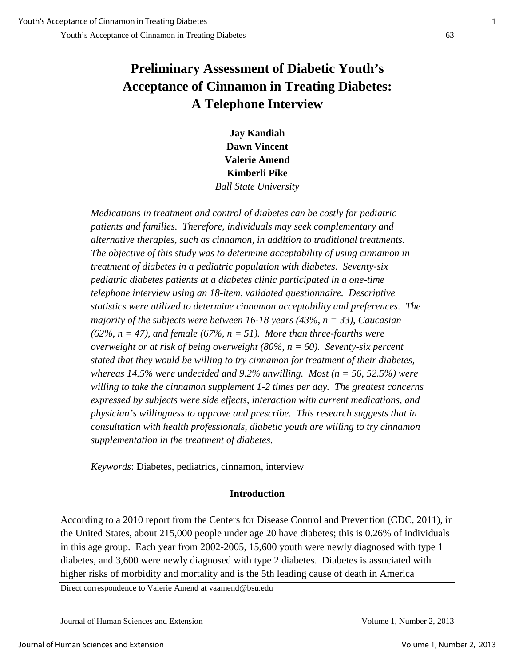## **Preliminary Assessment of Diabetic Youth's Acceptance of Cinnamon in Treating Diabetes: A Telephone Interview**

**Jay Kandiah Dawn Vincent Valerie Amend Kimberli Pike** *Ball State University*

*Medications in treatment and control of diabetes can be costly for pediatric patients and families. Therefore, individuals may seek complementary and alternative therapies, such as cinnamon, in addition to traditional treatments. The objective of this study was to determine acceptability of using cinnamon in treatment of diabetes in a pediatric population with diabetes. Seventy-six pediatric diabetes patients at a diabetes clinic participated in a one-time telephone interview using an 18-item, validated questionnaire. Descriptive statistics were utilized to determine cinnamon acceptability and preferences. The majority of the subjects were between 16-18 years (43%, n = 33), Caucasian (62%, n = 47), and female (67%, n = 51). More than three-fourths were overweight or at risk of being overweight (80%, n = 60). Seventy-six percent stated that they would be willing to try cinnamon for treatment of their diabetes, whereas 14.5% were undecided and 9.2% unwilling. Most (n = 56, 52.5%) were willing to take the cinnamon supplement 1-2 times per day. The greatest concerns expressed by subjects were side effects, interaction with current medications, and physician's willingness to approve and prescribe. This research suggests that in consultation with health professionals, diabetic youth are willing to try cinnamon supplementation in the treatment of diabetes.* 

*Keywords*: Diabetes, pediatrics, cinnamon, interview

## **Introduction**

According to a 2010 report from the Centers for Disease Control and Prevention (CDC, 2011), in the United States, about 215,000 people under age 20 have diabetes; this is 0.26% of individuals in this age group. Each year from 2002-2005, 15,600 youth were newly diagnosed with type 1 diabetes, and 3,600 were newly diagnosed with type 2 diabetes. Diabetes is associated with higher risks of morbidity and mortality and is the 5th leading cause of death in America

Direct correspondence to Valerie Amend at vaamend@bsu.edu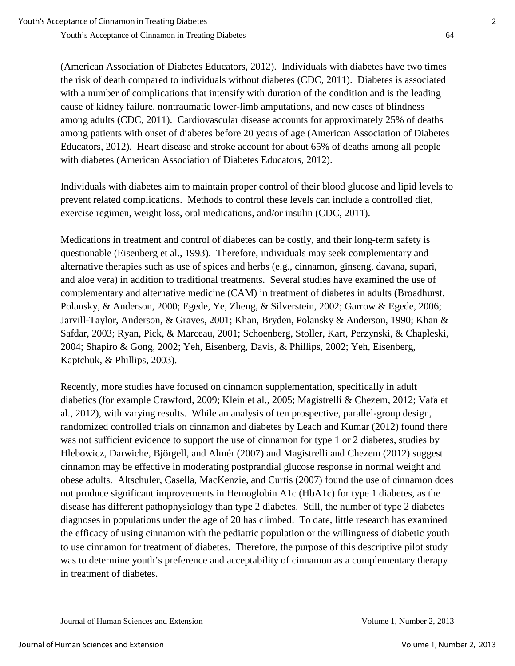(American Association of Diabetes Educators, 2012). Individuals with diabetes have two times the risk of death compared to individuals without diabetes (CDC, 2011). Diabetes is associated with a number of complications that intensify with duration of the condition and is the leading cause of kidney failure, nontraumatic lower-limb amputations, and new cases of blindness among adults (CDC, 2011). Cardiovascular disease accounts for approximately 25% of deaths among patients with onset of diabetes before 20 years of age (American Association of Diabetes Educators, 2012). Heart disease and stroke account for about 65% of deaths among all people with diabetes (American Association of Diabetes Educators, 2012).

Individuals with diabetes aim to maintain proper control of their blood glucose and lipid levels to prevent related complications. Methods to control these levels can include a controlled diet, exercise regimen, weight loss, oral medications, and/or insulin (CDC, 2011).

Medications in treatment and control of diabetes can be costly, and their long-term safety is questionable (Eisenberg et al., 1993). Therefore, individuals may seek complementary and alternative therapies such as use of spices and herbs (e.g., cinnamon, ginseng, davana, supari, and aloe vera) in addition to traditional treatments. Several studies have examined the use of complementary and alternative medicine (CAM) in treatment of diabetes in adults (Broadhurst, Polansky, & Anderson, 2000; Egede, Ye, Zheng, & Silverstein, 2002; Garrow & Egede, 2006; Jarvill-Taylor, Anderson, & Graves, 2001; Khan, Bryden, Polansky & Anderson, 1990; Khan & Safdar, 2003; Ryan, Pick, & Marceau, 2001; Schoenberg, Stoller, Kart, Perzynski, & Chapleski, 2004; Shapiro & Gong, 2002; Yeh, Eisenberg, Davis, & Phillips, 2002; Yeh, Eisenberg, Kaptchuk, & Phillips, 2003).

Recently, more studies have focused on cinnamon supplementation, specifically in adult diabetics (for example Crawford, 2009; Klein et al., 2005; Magistrelli & Chezem, 2012; Vafa et al., 2012), with varying results. While an analysis of ten prospective, parallel-group design, randomized controlled trials on cinnamon and diabetes by Leach and Kumar (2012) found there was not sufficient evidence to support the use of cinnamon for type 1 or 2 diabetes, studies by Hlebowicz, Darwiche, Björgell, and Almér (2007) and Magistrelli and Chezem (2012) suggest cinnamon may be effective in moderating postprandial glucose response in normal weight and obese adults. Altschuler, Casella, MacKenzie, and Curtis (2007) found the use of cinnamon does not produce significant improvements in Hemoglobin A1c (HbA1c) for type 1 diabetes, as the disease has different pathophysiology than type 2 diabetes. Still, the number of type 2 diabetes diagnoses in populations under the age of 20 has climbed. To date, little research has examined the efficacy of using cinnamon with the pediatric population or the willingness of diabetic youth to use cinnamon for treatment of diabetes. Therefore, the purpose of this descriptive pilot study was to determine youth's preference and acceptability of cinnamon as a complementary therapy in treatment of diabetes.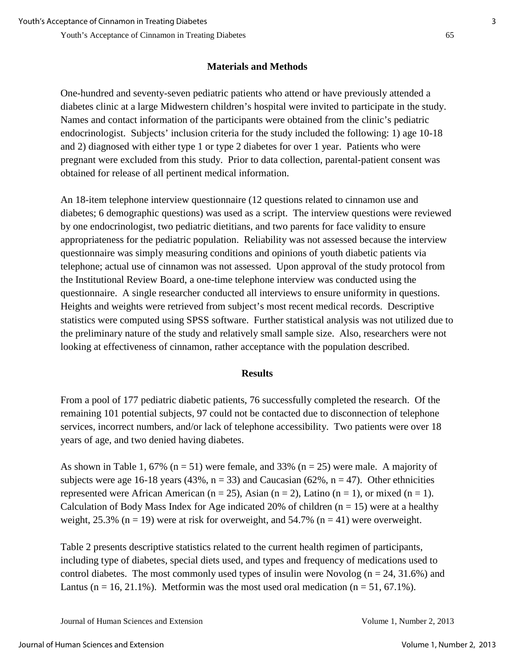## **Materials and Methods**

One-hundred and seventy-seven pediatric patients who attend or have previously attended a diabetes clinic at a large Midwestern children's hospital were invited to participate in the study. Names and contact information of the participants were obtained from the clinic's pediatric endocrinologist. Subjects' inclusion criteria for the study included the following: 1) age 10-18 and 2) diagnosed with either type 1 or type 2 diabetes for over 1 year. Patients who were pregnant were excluded from this study. Prior to data collection, parental-patient consent was obtained for release of all pertinent medical information.

An 18-item telephone interview questionnaire (12 questions related to cinnamon use and diabetes; 6 demographic questions) was used as a script. The interview questions were reviewed by one endocrinologist, two pediatric dietitians, and two parents for face validity to ensure appropriateness for the pediatric population. Reliability was not assessed because the interview questionnaire was simply measuring conditions and opinions of youth diabetic patients via telephone; actual use of cinnamon was not assessed. Upon approval of the study protocol from the Institutional Review Board, a one-time telephone interview was conducted using the questionnaire. A single researcher conducted all interviews to ensure uniformity in questions. Heights and weights were retrieved from subject's most recent medical records. Descriptive statistics were computed using SPSS software. Further statistical analysis was not utilized due to the preliminary nature of the study and relatively small sample size. Also, researchers were not looking at effectiveness of cinnamon, rather acceptance with the population described.

### **Results**

From a pool of 177 pediatric diabetic patients, 76 successfully completed the research. Of the remaining 101 potential subjects, 97 could not be contacted due to disconnection of telephone services, incorrect numbers, and/or lack of telephone accessibility. Two patients were over 18 years of age, and two denied having diabetes.

As shown in Table 1, 67% ( $n = 51$ ) were female, and 33% ( $n = 25$ ) were male. A majority of subjects were age 16-18 years (43%,  $n = 33$ ) and Caucasian (62%,  $n = 47$ ). Other ethnicities represented were African American ( $n = 25$ ), Asian ( $n = 2$ ), Latino ( $n = 1$ ), or mixed ( $n = 1$ ). Calculation of Body Mass Index for Age indicated 20% of children  $(n = 15)$  were at a healthy weight, 25.3% ( $n = 19$ ) were at risk for overweight, and 54.7% ( $n = 41$ ) were overweight.

Table 2 presents descriptive statistics related to the current health regimen of participants, including type of diabetes, special diets used, and types and frequency of medications used to control diabetes. The most commonly used types of insulin were Novolog ( $n = 24$ , 31.6%) and Lantus (n = 16, 21.1%). Metformin was the most used oral medication (n = 51, 67.1%).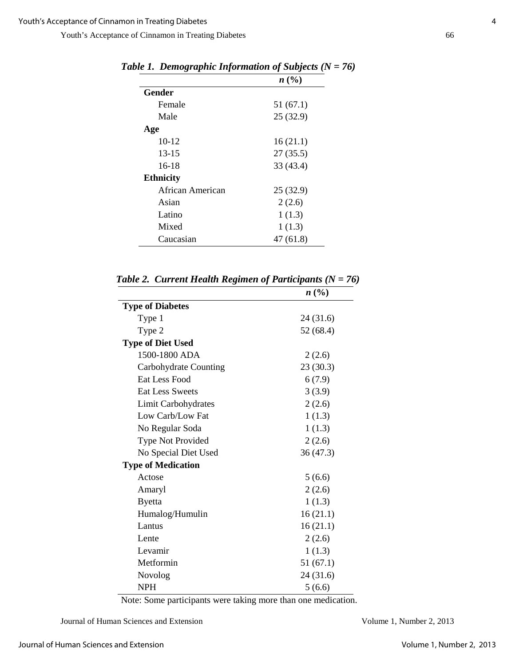|                  | n(%)      |
|------------------|-----------|
| Gender           |           |
| Female           | 51(67.1)  |
| Male             | 25(32.9)  |
| Age              |           |
| $10-12$          | 16(21.1)  |
| $13 - 15$        | 27(35.5)  |
| 16-18            | 33 (43.4) |
| <b>Ethnicity</b> |           |
| African American | 25(32.9)  |
| Asian            | 2(2.6)    |
| Latino           | 1(1.3)    |
| Mixed            | 1(1.3)    |
| Caucasian        | 47 (61.8) |

*Table 1. Demographic Information of Subjects (N = 76)* 

|                           | n(%)      |
|---------------------------|-----------|
| <b>Type of Diabetes</b>   |           |
| Type 1                    | 24 (31.6) |
| Type 2                    | 52 (68.4) |
| <b>Type of Diet Used</b>  |           |
| 1500-1800 ADA             | 2(2.6)    |
| Carbohydrate Counting     | 23(30.3)  |
| Eat Less Food             | 6(7.9)    |
| <b>Eat Less Sweets</b>    | 3(3.9)    |
| Limit Carbohydrates       | 2(2.6)    |
| Low Carb/Low Fat          | 1(1.3)    |
| No Regular Soda           | 1(1.3)    |
| Type Not Provided         | 2(2.6)    |
| No Special Diet Used      | 36 (47.3) |
| <b>Type of Medication</b> |           |
| Actose                    | 5(6.6)    |
| Amaryl                    | 2(2.6)    |
| <b>Byetta</b>             | 1(1.3)    |
| Humalog/Humulin           | 16(21.1)  |
| Lantus                    | 16(21.1)  |
| Lente                     | 2(2.6)    |
| Levamir                   | 1(1.3)    |
| Metformin                 | 51(67.1)  |
| Novolog                   | 24 (31.6) |
| NPH                       | 5(6.6)    |

 *Table 2. Current Health Regimen of Participants (N = 76)* 

Note: Some participants were taking more than one medication.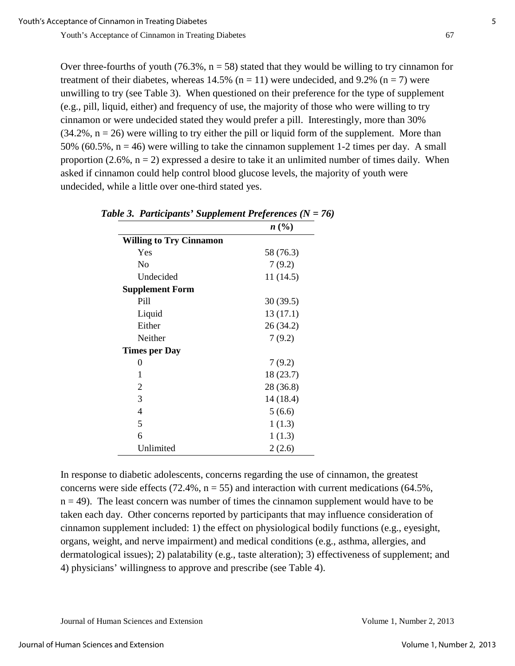Over three-fourths of youth (76.3%,  $n = 58$ ) stated that they would be willing to try cinnamon for treatment of their diabetes, whereas 14.5% ( $n = 11$ ) were undecided, and 9.2% ( $n = 7$ ) were unwilling to try (see Table 3). When questioned on their preference for the type of supplement (e.g., pill, liquid, either) and frequency of use, the majority of those who were willing to try cinnamon or were undecided stated they would prefer a pill. Interestingly, more than 30%  $(34.2\%, n = 26)$  were willing to try either the pill or liquid form of the supplement. More than 50% (60.5%,  $n = 46$ ) were willing to take the cinnamon supplement 1-2 times per day. A small proportion  $(2.6\%, n = 2)$  expressed a desire to take it an unlimited number of times daily. When asked if cinnamon could help control blood glucose levels, the majority of youth were undecided, while a little over one-third stated yes.

| $\mathbf{r}$                   |           |  |
|--------------------------------|-----------|--|
|                                | n(%)      |  |
| <b>Willing to Try Cinnamon</b> |           |  |
| Yes                            | 58 (76.3) |  |
| No                             | 7(9.2)    |  |
| Undecided                      | 11(14.5)  |  |
| <b>Supplement Form</b>         |           |  |
| Pill                           | 30(39.5)  |  |
| Liquid                         | 13(17.1)  |  |
| Either                         | 26 (34.2) |  |
| Neither                        | 7(9.2)    |  |
| <b>Times per Day</b>           |           |  |
| 0                              | 7(9.2)    |  |
| 1                              | 18 (23.7) |  |
| 2                              | 28 (36.8) |  |
| 3                              | 14 (18.4) |  |
| 4                              | 5(6.6)    |  |
| 5                              | 1(1.3)    |  |
| 6                              | 1(1.3)    |  |
| Unlimited                      | 2(2.6)    |  |

In response to diabetic adolescents, concerns regarding the use of cinnamon, the greatest concerns were side effects (72.4%,  $n = 55$ ) and interaction with current medications (64.5%,  $n = 49$ ). The least concern was number of times the cinnamon supplement would have to be taken each day. Other concerns reported by participants that may influence consideration of cinnamon supplement included: 1) the effect on physiological bodily functions (e.g., eyesight, organs, weight, and nerve impairment) and medical conditions (e.g., asthma, allergies, and dermatological issues); 2) palatability (e.g., taste alteration); 3) effectiveness of supplement; and 4) physicians' willingness to approve and prescribe (see Table 4).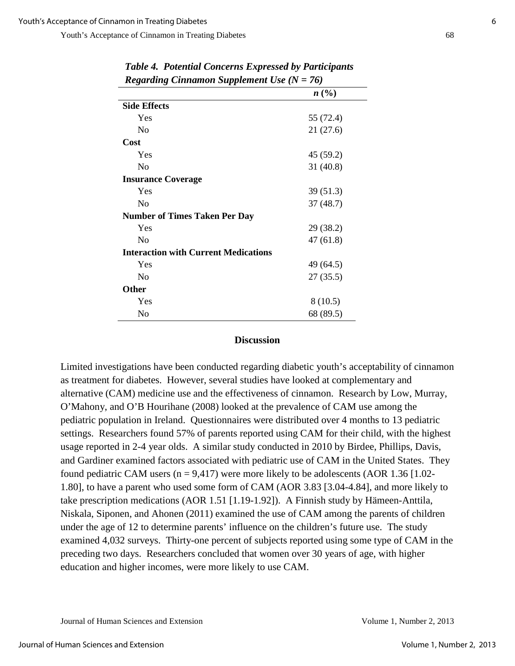| o                   | o                         | 1 L                                         |           |
|---------------------|---------------------------|---------------------------------------------|-----------|
|                     |                           |                                             | n(%)      |
| <b>Side Effects</b> |                           |                                             |           |
| Yes                 |                           |                                             | 55 (72.4) |
| N <sub>o</sub>      |                           |                                             | 21(27.6)  |
| Cost                |                           |                                             |           |
| Yes                 |                           |                                             | 45 (59.2) |
| No                  |                           |                                             | 31(40.8)  |
|                     | <b>Insurance Coverage</b> |                                             |           |
| Yes                 |                           |                                             | 39(51.3)  |
| N <sub>o</sub>      |                           |                                             | 37(48.7)  |
|                     |                           | <b>Number of Times Taken Per Day</b>        |           |
| Yes                 |                           |                                             | 29 (38.2) |
| N <sub>o</sub>      |                           |                                             | 47(61.8)  |
|                     |                           | <b>Interaction with Current Medications</b> |           |
| Yes                 |                           |                                             | 49 (64.5) |
| No                  |                           |                                             | 27(35.5)  |
| Other               |                           |                                             |           |
| Yes                 |                           |                                             | 8(10.5)   |
| N <sub>o</sub>      |                           |                                             | 68 (89.5) |

*Table 4. Potential Concerns Expressed by Participants Regarding Cinnamon Supplement Use (N = 76)* 

#### **Discussion**

Limited investigations have been conducted regarding diabetic youth's acceptability of cinnamon as treatment for diabetes. However, several studies have looked at complementary and alternative (CAM) medicine use and the effectiveness of cinnamon. Research by Low, Murray, O'Mahony, and O'B Hourihane (2008) looked at the prevalence of CAM use among the pediatric population in Ireland. Questionnaires were distributed over 4 months to 13 pediatric settings. Researchers found 57% of parents reported using CAM for their child, with the highest usage reported in 2-4 year olds. A similar study conducted in 2010 by Birdee, Phillips, Davis, and Gardiner examined factors associated with pediatric use of CAM in the United States. They found pediatric CAM users  $(n = 9,417)$  were more likely to be adolescents (AOR 1.36 [1.02-1.80], to have a parent who used some form of CAM (AOR 3.83 [3.04-4.84], and more likely to take prescription medications (AOR 1.51 [1.19-1.92]). A Finnish study by Hämeen-Anttila, Niskala, Siponen, and Ahonen (2011) examined the use of CAM among the parents of children under the age of 12 to determine parents' influence on the children's future use. The study examined 4,032 surveys. Thirty-one percent of subjects reported using some type of CAM in the preceding two days. Researchers concluded that women over 30 years of age, with higher education and higher incomes, were more likely to use CAM.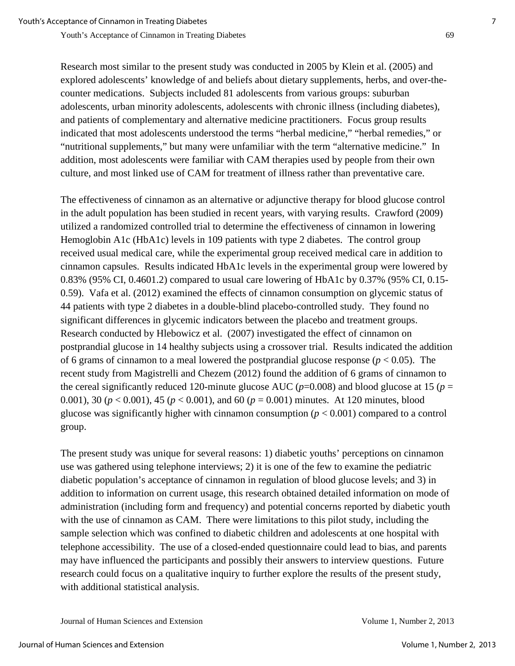Research most similar to the present study was conducted in 2005 by Klein et al. (2005) and explored adolescents' knowledge of and beliefs about dietary supplements, herbs, and over-thecounter medications. Subjects included 81 adolescents from various groups: suburban adolescents, urban minority adolescents, adolescents with chronic illness (including diabetes), and patients of complementary and alternative medicine practitioners. Focus group results indicated that most adolescents understood the terms "herbal medicine," "herbal remedies," or "nutritional supplements," but many were unfamiliar with the term "alternative medicine." In addition, most adolescents were familiar with CAM therapies used by people from their own culture, and most linked use of CAM for treatment of illness rather than preventative care.

The effectiveness of cinnamon as an alternative or adjunctive therapy for blood glucose control in the adult population has been studied in recent years, with varying results. Crawford (2009) utilized a randomized controlled trial to determine the effectiveness of cinnamon in lowering Hemoglobin A1c (HbA1c) levels in 109 patients with type 2 diabetes. The control group received usual medical care, while the experimental group received medical care in addition to cinnamon capsules. Results indicated HbA1c levels in the experimental group were lowered by 0.83% (95% CI, 0.4601.2) compared to usual care lowering of HbA1c by 0.37% (95% CI, 0.15- 0.59). Vafa et al. (2012) examined the effects of cinnamon consumption on glycemic status of 44 patients with type 2 diabetes in a double-blind placebo-controlled study. They found no significant differences in glycemic indicators between the placebo and treatment groups. Research conducted by Hlebowicz et al. (2007) investigated the effect of cinnamon on postprandial glucose in 14 healthy subjects using a crossover trial. Results indicated the addition of 6 grams of cinnamon to a meal lowered the postprandial glucose response  $(p < 0.05)$ . The recent study from Magistrelli and Chezem (2012) found the addition of 6 grams of cinnamon to the cereal significantly reduced 120-minute glucose AUC ( $p=0.008$ ) and blood glucose at 15 ( $p=$ 0.001), 30 (*p* < 0.001), 45 (*p* < 0.001), and 60 (*p* = 0.001) minutes. At 120 minutes, blood glucose was significantly higher with cinnamon consumption (*p* < 0.001) compared to a control group.

The present study was unique for several reasons: 1) diabetic youths' perceptions on cinnamon use was gathered using telephone interviews; 2) it is one of the few to examine the pediatric diabetic population's acceptance of cinnamon in regulation of blood glucose levels; and 3) in addition to information on current usage, this research obtained detailed information on mode of administration (including form and frequency) and potential concerns reported by diabetic youth with the use of cinnamon as CAM. There were limitations to this pilot study, including the sample selection which was confined to diabetic children and adolescents at one hospital with telephone accessibility. The use of a closed-ended questionnaire could lead to bias, and parents may have influenced the participants and possibly their answers to interview questions. Future research could focus on a qualitative inquiry to further explore the results of the present study, with additional statistical analysis.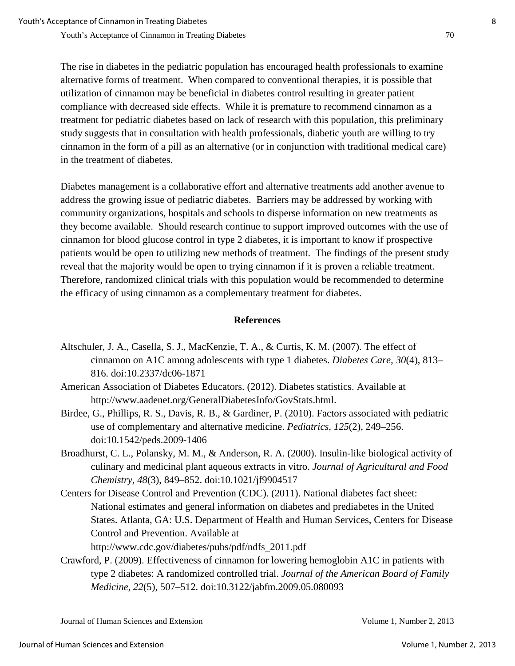The rise in diabetes in the pediatric population has encouraged health professionals to examine alternative forms of treatment. When compared to conventional therapies, it is possible that utilization of cinnamon may be beneficial in diabetes control resulting in greater patient compliance with decreased side effects. While it is premature to recommend cinnamon as a treatment for pediatric diabetes based on lack of research with this population, this preliminary study suggests that in consultation with health professionals, diabetic youth are willing to try cinnamon in the form of a pill as an alternative (or in conjunction with traditional medical care) in the treatment of diabetes.

Diabetes management is a collaborative effort and alternative treatments add another avenue to address the growing issue of pediatric diabetes. Barriers may be addressed by working with community organizations, hospitals and schools to disperse information on new treatments as they become available. Should research continue to support improved outcomes with the use of cinnamon for blood glucose control in type 2 diabetes, it is important to know if prospective patients would be open to utilizing new methods of treatment. The findings of the present study reveal that the majority would be open to trying cinnamon if it is proven a reliable treatment. Therefore, randomized clinical trials with this population would be recommended to determine the efficacy of using cinnamon as a complementary treatment for diabetes.

### **References**

- Altschuler, J. A., Casella, S. J., MacKenzie, T. A., & Curtis, K. M. (2007). The effect of cinnamon on A1C among adolescents with type 1 diabetes. *Diabetes Care, 30*(4), 813– 816. doi:10.2337/dc06-1871
- American Association of Diabetes Educators. (2012). Diabetes statistics. Available at http://www.aadenet.org/GeneralDiabetesInfo/GovStats.html.
- Birdee, G., Phillips, R. S., Davis, R. B., & Gardiner, P. (2010). Factors associated with pediatric use of complementary and alternative medicine. *Pediatrics, 125*(2), 249–256. doi:10.1542/peds.2009-1406
- Broadhurst, C. L., Polansky, M. M., & Anderson, R. A. (2000). Insulin-like biological activity of culinary and medicinal plant aqueous extracts in vitro. *Journal of Agricultural and Food Chemistry, 48*(3), 849–852. doi:10.1021/jf9904517
- Centers for Disease Control and Prevention (CDC). (2011). National diabetes fact sheet: National estimates and general information on diabetes and prediabetes in the United States. Atlanta, GA: U.S. Department of Health and Human Services, Centers for Disease Control and Prevention. Available at http://www.cdc.gov/diabetes/pubs/pdf/ndfs\_2011.pdf
- Crawford, P. (2009). Effectiveness of cinnamon for lowering hemoglobin A1C in patients with type 2 diabetes: A randomized controlled trial. *Journal of the American Board of Family Medicine, 22*(5), 507–512. doi:10.3122/jabfm.2009.05.080093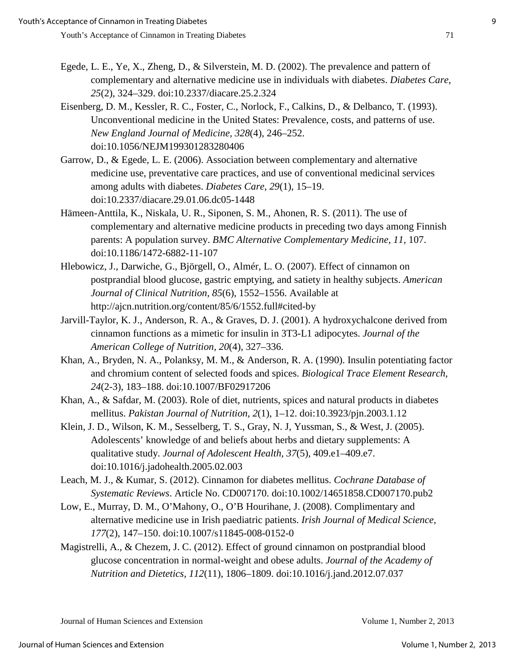- Egede, L. E., Ye, X., Zheng, D., & Silverstein, M. D. (2002). The prevalence and pattern of complementary and alternative medicine use in individuals with diabetes. *Diabetes Care, 25*(2), 324–329. doi:10.2337/diacare.25.2.324
- Eisenberg, D. M., Kessler, R. C., Foster, C., Norlock, F., Calkins, D., & Delbanco, T. (1993). Unconventional medicine in the United States: Prevalence, costs, and patterns of use. *New England Journal of Medicine, 328*(4), 246–252. doi:10.1056/NEJM199301283280406
- Garrow, D., & Egede, L. E. (2006). Association between complementary and alternative medicine use, preventative care practices, and use of conventional medicinal services among adults with diabetes. *Diabetes Care*, *29*(1), 15–19. doi:10.2337/diacare.29.01.06.dc05-1448
- Hämeen-Anttila, K., Niskala, U. R., Siponen, S. M., Ahonen, R. S. (2011). The use of complementary and alternative medicine products in preceding two days among Finnish parents: A population survey. *BMC Alternative Complementary Medicine, 11,* 107. doi:10.1186/1472-6882-11-107
- Hlebowicz, J., Darwiche, G., Björgell, O., Almér, L. O. (2007). Effect of cinnamon on postprandial blood glucose, gastric emptying, and satiety in healthy subjects. *American Journal of Clinical Nutrition, 85*(6), 1552–1556. Available at http://ajcn.nutrition.org/content/85/6/1552.full#cited-by
- Jarvill-Taylor, K. J., Anderson, R. A., & Graves, D. J. (2001). A hydroxychalcone derived from cinnamon functions as a mimetic for insulin in 3T3-L1 adipocytes. *Journal of the American College of Nutrition, 20*(4), 327–336.
- Khan, A., Bryden, N. A., Polanksy, M. M., & Anderson, R. A. (1990). Insulin potentiating factor and chromium content of selected foods and spices. *Biological Trace Element Research, 24*(2-3), 183–188. doi:10.1007/BF02917206
- Khan, A., & Safdar, M. (2003). Role of diet, nutrients, spices and natural products in diabetes mellitus. *Pakistan Journal of Nutrition, 2*(1), 1–12. doi:10.3923/pjn.2003.1.12
- Klein, J. D., Wilson, K. M., Sesselberg, T. S., Gray, N. J, Yussman, S., & West, J. (2005). Adolescents' knowledge of and beliefs about herbs and dietary supplements: A qualitative study. *Journal of Adolescent Health, 37*(5), 409.e1–409.e7. doi:10.1016/j.jadohealth.2005.02.003
- Leach, M. J., & Kumar, S. (2012). Cinnamon for diabetes mellitus. *Cochrane Database of Systematic Reviews*. Article No. CD007170. doi:10.1002/14651858.CD007170.pub2
- Low, E., Murray, D. M., O'Mahony, O., O'B Hourihane, J. (2008). Complimentary and alternative medicine use in Irish paediatric patients. *Irish Journal of Medical Science, 177*(2), 147–150. doi:10.1007/s11845-008-0152-0
- Magistrelli, A., & Chezem, J. C. (2012). Effect of ground cinnamon on postprandial blood glucose concentration in normal-weight and obese adults. *Journal of the Academy of Nutrition and Dietetics, 112*(11), 1806–1809. doi:10.1016/j.jand.2012.07.037